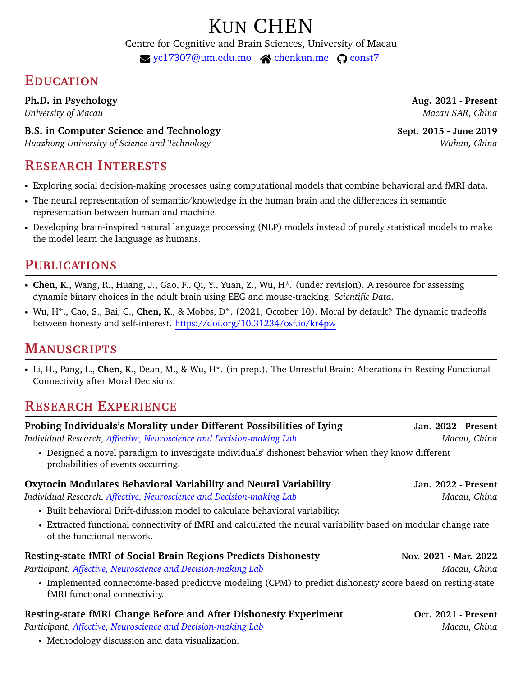# KUN CHEN

Centre for Cognitive and Brain Sciences, University of Macau

 $\blacktriangleright$  [yc17307@um.edu.mo](mailto:yc17307@um.edu.mo)  $\blacktriangle$  [chenkun.me](https://chenkun.me)  $\heartsuit$  [const7](https://github.com/const7)

# **EDUCATION**

**Ph.D. in Psychology Aug. 2021 - Present**

**B.S. in Computer Science and Technology Sept. 2015 - June 2019 Sept. 2015** - June 2019

*Huazhong University of Science and Technology Wuhan, China*

# **RESEARCH INTERESTS**

- *•* Exploring social decision-making processes using computational models that combine behavioral and fMRI data.
- *•* The neural representation of semantic/knowledge in the human brain and the differences in semantic representation between human and machine.
- *•* Developing brain-inspired natural language processing (NLP) models instead of purely statistical models to make the model learn the language as humans.

# **PUBLICATIONS**

- *•* **Chen, K**., Wang, R., Huang, J., Gao, F., Qi, Y., Yuan, Z., Wu, H\*. (under revision). A resource for assessing dynamic binary choices in the adult brain using EEG and mouse-tracking. *Scientific Data*.
- *•* Wu, H\*., Cao, S., Bai, C., **Chen, K**., & Mobbs, D\*. (2021, October 10). Moral by default? The dynamic tradeoffs between honesty and self-interest. <https://doi.org/10.31234/osf.io/kr4pw>

# **MANUSCRIPTS**

*•* Li, H., Pang, L., **Chen, K**., Dean, M., & Wu, H\*. (in prep.). The Unrestful Brain: Alterations in Resting Functional Connectivity after Moral Decisions.

# **RESEARCH EXPERIENCE**

| Probing Individuals's Morality under Different Possibilities of Lying<br>Individual Research, Affective, Neuroscience and Decision-making Lab | Jan. 2022 - Present<br>Macau, China |
|-----------------------------------------------------------------------------------------------------------------------------------------------|-------------------------------------|
| • Designed a novel paradigm to investigate individuals' dishonest behavior when they know different<br>probabilities of events occurring.     |                                     |
| Oxytocin Modulates Behavioral Variability and Neural Variability                                                                              | Jan. 2022 - Present                 |
| Individual Research, Affective, Neuroscience and Decision-making Lab                                                                          | Macau, China                        |
| • Built behavioral Drift-difussion model to calculate behavioral variability.                                                                 |                                     |
| • Extracted functional connectivity of fMRI and calculated the neural variability based on modular change rate<br>of the functional network.  |                                     |
| <b>Resting-state fMRI of Social Brain Regions Predicts Dishonesty</b>                                                                         | Nov. 2021 - Mar. 2022               |
| Participant, Affective, Neuroscience and Decision-making Lab                                                                                  | Macau, China                        |
| • Implemented connectome-based predictive modeling (CPM) to predict dishonesty score baesd on resting-state<br>fMRI functional connectivity.  |                                     |
| Resting-state fMRI Change Before and After Dishonesty Experiment                                                                              | Oct. 2021 - Present                 |
| Participant, Affective, Neuroscience and Decision-making Lab<br>Macau, China                                                                  |                                     |
| • Methodology discussion and data visualization.                                                                                              |                                     |

*University of Macau Macau SAR, China*